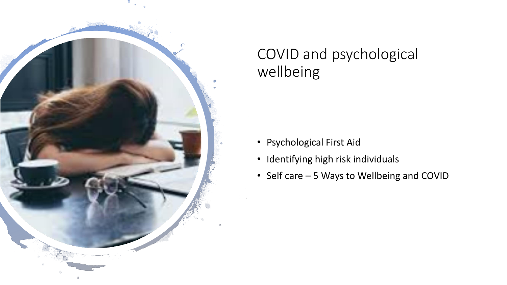

#### COVID and psychological wellbeing

- Psychological First Aid
- Identifying high risk individuals
- Self care 5 Ways to Wellbeing and COVID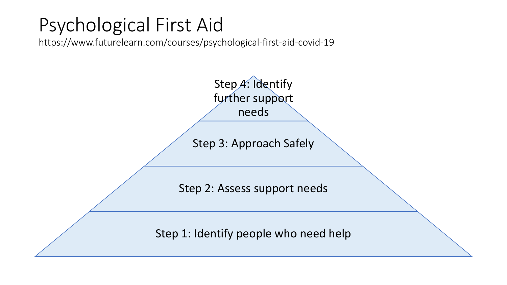### Psychological First Aid

https://www.futurelearn.com/courses/psychological-first-aid-covid-19

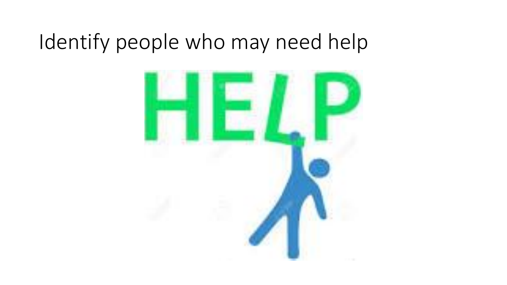## Identify people who may need help

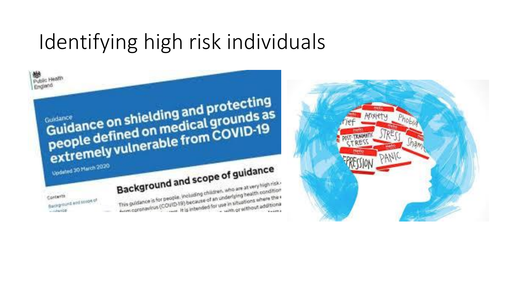# Identifying high risk individuals





Background and scope of guidance Background and scope of an an at very high risk. This guidance is for people, including children, who are at very then<br>This guidance is for people, including children, who are at were there that

Contents Background and spook of Contracticum

Public Health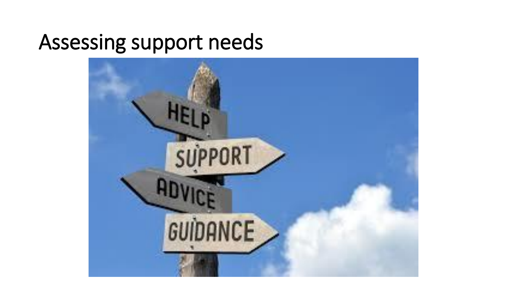#### Assessing support needs

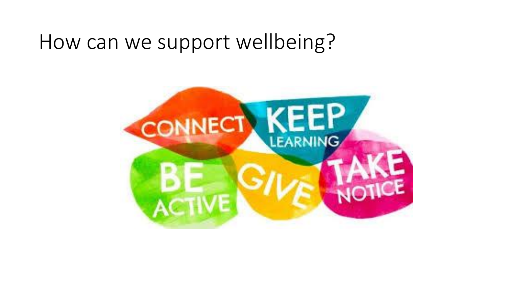#### How can we support wellbeing?

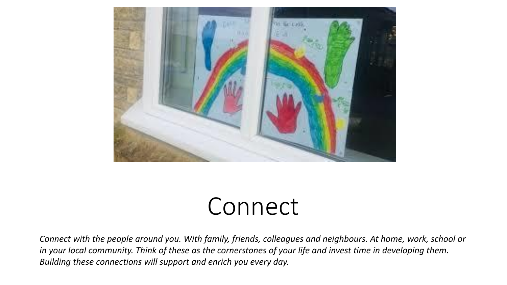

# Connect

*Connect with the people around you. With family, friends, colleagues and neighbours. At home, work, school or in your local community. Think of these as the cornerstones of your life and invest time in developing them. Building these connections will support and enrich you every day.*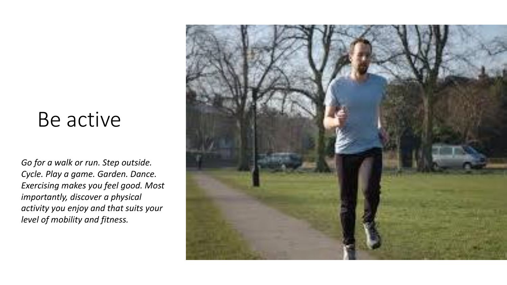#### Be active

*Go for a walk or run. Step outside. Cycle. Play a game. Garden. Dance. Exercising makes you feel good. Most importantly, discover a physical activity you enjoy and that suits your level of mobility and fitness.*

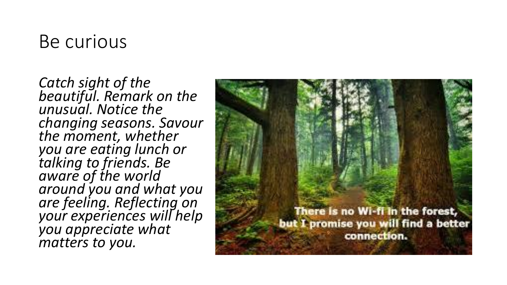#### Be curious

*Catch sight of the beautiful. Remark on the unusual. Notice the changing seasons. Savour the moment, whether you are eating lunch or talking to friends. Be aware of the world around you and what you are feeling. Reflecting on your experiences will help you appreciate what matters to you.*

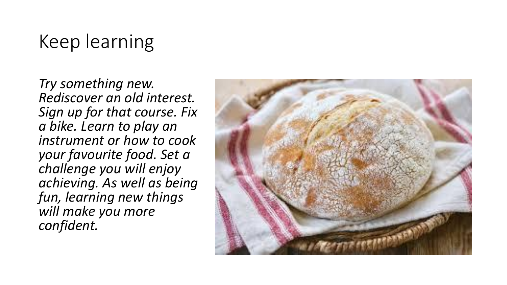#### Keep learning

*Try something new. Rediscover an old interest. Sign up for that course. Fix a bike. Learn to play an instrument or how to cook your favourite food. Set a challenge you will enjoy achieving. As well as being fun, learning new things will make you more confident.*

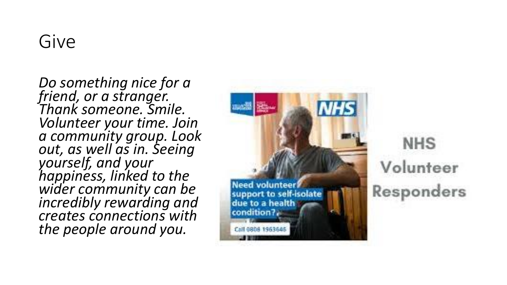*Do something nice for a friend, or a stranger. Thank someone. Smile. Volunteer your time. Join a community group. Look out, as well as in. Seeing yourself, and your happiness, linked to the wider community can be incredibly rewarding and creates connections with the people around you.*



**NHS** Volunteer Responders